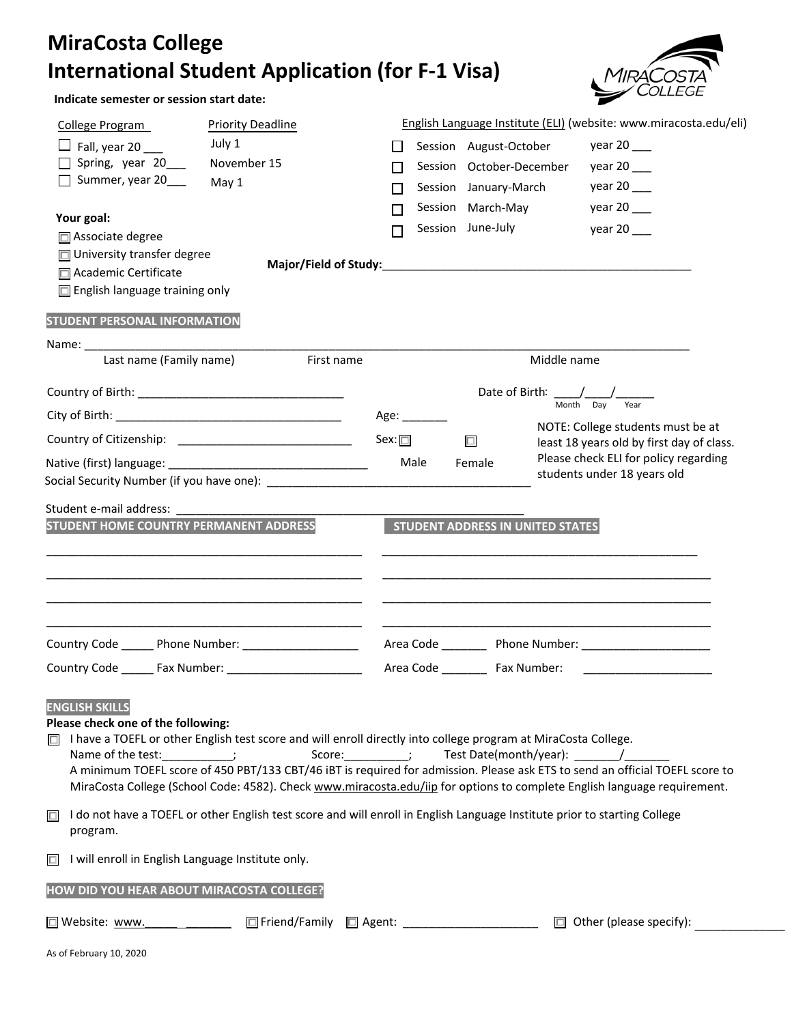## **MiraCosta College International Student Application (for F‐1 Visa)**



**Indicate semester or session start date:**

| <b>Priority Deadline</b><br>College Program                                                                                                                                                                                                              |                                               |                                                          | English Language Institute (ELI) (website: www.miracosta.edu/eli)         |
|----------------------------------------------------------------------------------------------------------------------------------------------------------------------------------------------------------------------------------------------------------|-----------------------------------------------|----------------------------------------------------------|---------------------------------------------------------------------------|
| July 1<br>$\Box$ Fall, year 20                                                                                                                                                                                                                           |                                               | Session August-October                                   | year 20 $\_\_$                                                            |
| Spring, year 20<br>November 15                                                                                                                                                                                                                           |                                               | Session October-December                                 | year 20                                                                   |
| $\Box$ Summer, year 20<br>May 1                                                                                                                                                                                                                          |                                               | Session January-March                                    | year $20$ ___                                                             |
|                                                                                                                                                                                                                                                          |                                               | Session March-May                                        | year 20                                                                   |
| Your goal:                                                                                                                                                                                                                                               | П                                             | Session June-July                                        | year 20                                                                   |
| □ Associate degree<br>$\Box$ University transfer degree                                                                                                                                                                                                  |                                               |                                                          |                                                                           |
| □ Academic Certificate                                                                                                                                                                                                                                   |                                               |                                                          |                                                                           |
| $\Box$ English language training only                                                                                                                                                                                                                    |                                               |                                                          |                                                                           |
|                                                                                                                                                                                                                                                          |                                               |                                                          |                                                                           |
| <b>STUDENT PERSONAL INFORMATION</b>                                                                                                                                                                                                                      |                                               |                                                          |                                                                           |
|                                                                                                                                                                                                                                                          |                                               |                                                          |                                                                           |
| Last name (Family name)<br>First name                                                                                                                                                                                                                    |                                               | Middle name                                              |                                                                           |
|                                                                                                                                                                                                                                                          |                                               |                                                          | Month Day<br>Year                                                         |
|                                                                                                                                                                                                                                                          | Age: $\_\_\_\_\_\_\_\_\_\_\_\_\_\_\_\_\_\_\_$ |                                                          | NOTE: College students must be at                                         |
|                                                                                                                                                                                                                                                          | Sex: $\square$                                | $\Box$                                                   | least 18 years old by first day of class.                                 |
|                                                                                                                                                                                                                                                          | Male                                          | Female                                                   | Please check ELI for policy regarding                                     |
|                                                                                                                                                                                                                                                          |                                               |                                                          | students under 18 years old                                               |
| Student e-mail address:                                                                                                                                                                                                                                  |                                               |                                                          |                                                                           |
| STUDENT HOME COUNTRY PERMANENT ADDRESS                                                                                                                                                                                                                   |                                               | STUDENT ADDRESS IN UNITED STATES                         |                                                                           |
|                                                                                                                                                                                                                                                          |                                               |                                                          |                                                                           |
|                                                                                                                                                                                                                                                          |                                               |                                                          |                                                                           |
|                                                                                                                                                                                                                                                          |                                               |                                                          |                                                                           |
|                                                                                                                                                                                                                                                          |                                               |                                                          |                                                                           |
|                                                                                                                                                                                                                                                          |                                               |                                                          |                                                                           |
| Country Code ______ Phone Number: ____________________                                                                                                                                                                                                   |                                               |                                                          |                                                                           |
|                                                                                                                                                                                                                                                          |                                               |                                                          |                                                                           |
|                                                                                                                                                                                                                                                          |                                               |                                                          |                                                                           |
| <b>ENGLISH SKILLS</b><br>Please check one of the following:                                                                                                                                                                                              |                                               |                                                          |                                                                           |
| I have a TOEFL or other English test score and will enroll directly into college program at MiraCosta College.<br>ЮL.                                                                                                                                    |                                               |                                                          |                                                                           |
| Name of the test: __________;                                                                                                                                                                                                                            |                                               | Score: ____________; Test Date(month/year): _________/__ |                                                                           |
| A minimum TOEFL score of 450 PBT/133 CBT/46 iBT is required for admission. Please ask ETS to send an official TOEFL score to<br>MiraCosta College (School Code: 4582). Check www.miracosta.edu/iip for options to complete English language requirement. |                                               |                                                          |                                                                           |
|                                                                                                                                                                                                                                                          |                                               |                                                          |                                                                           |
| I do not have a TOEFL or other English test score and will enroll in English Language Institute prior to starting College<br>$\Box$<br>program.                                                                                                          |                                               |                                                          |                                                                           |
|                                                                                                                                                                                                                                                          |                                               |                                                          |                                                                           |
| I will enroll in English Language Institute only.<br>$\Box$                                                                                                                                                                                              |                                               |                                                          |                                                                           |
|                                                                                                                                                                                                                                                          |                                               |                                                          |                                                                           |
| HOW DID YOU HEAR ABOUT MIRACOSTA COLLEGE?                                                                                                                                                                                                                |                                               |                                                          |                                                                           |
| □ Website: www. _________________                                                                                                                                                                                                                        |                                               |                                                          | □ Friend/Family □ Agent: ______________________ □ Other (please specify): |